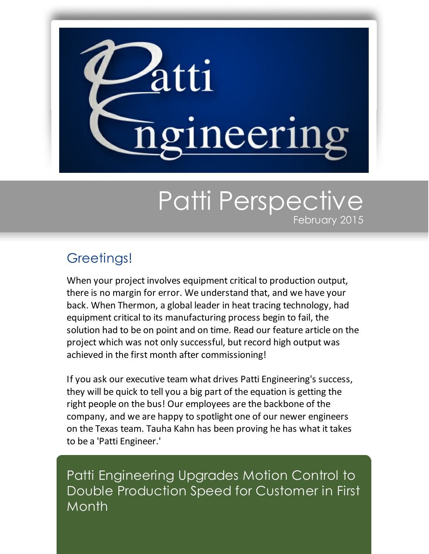

## Patti Perspective February 2015

## Greetings!

When your project involves equipment critical to production output, there is no margin for error. We understand that, and we have your back. When Thermon, a global leader in heat tracing technology, had equipment critical to its manufacturing process begin to fail, the solution had to be on point and on time. Read our feature article on the project which was not only successful, but record high output was achieved in the first month after commissioning!

If you ask our executive team what drives Patti Engineering's success, they will be quick to tell you a big part of the equation is getting the right people on the bus! Our employees are the backbone of the company, and we are happy to spotlight one of our newer engineers on the Texas team. Tauha Kahn has been proving he has what it takes to be a 'Patti Engineer.'

Patti Engineering Upgrades Motion Control to Double Production Speed for Customer in First **Month**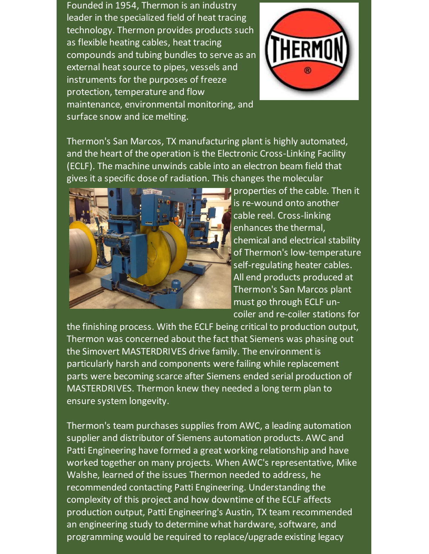Founded in 1954, Thermon is an industry leader in the specialized field of heat tracing technology. Thermon provides products such as flexible heating cables, heat tracing compounds and tubing bundles to serve as an external heat source to pipes, vessels and instruments for the purposes of freeze protection, temperature and flow maintenance, environmental monitoring, and surface snow and ice melting.



Thermon's San Marcos, TX manufacturing plant is highly automated, and the heart of the operation is the Electronic Cross-Linking Facility (ECLF). The machine unwinds cable into an electron beam field that gives it a specific dose of radiation. This changes the molecular



**P** properties of the cable. Then it is re-wound onto another cable reel. Cross-linking enhances the thermal, chemical and electrical stability of Thermon's low-temperature self-regulating heater cables. All end products produced at Thermon's San Marcos plant must go through ECLF uncoiler and re-coiler stations for

the finishing process. With the ECLF being critical to production output, Thermon was concerned about the fact that Siemens was phasing out the Simovert MASTERDRIVES drive family. The environment is particularly harsh and components were failing while replacement parts were becoming scarce after Siemens ended serial production of MASTERDRIVES. Thermon knew they needed a long term plan to ensure system longevity.

Thermon's team purchases supplies from AWC, a leading automation supplier and distributor of Siemens automation products. AWC and Patti Engineering have formed a great working relationship and have worked together on many projects. When AWC's representative, Mike Walshe, learned of the issues Thermon needed to address, he recommended contacting Patti Engineering. Understanding the complexity of this project and how downtime of the ECLF affects production output, Patti Engineering's Austin, TX team recommended an engineering study to determine what hardware, software, and programming would be required to replace/upgrade existing legacy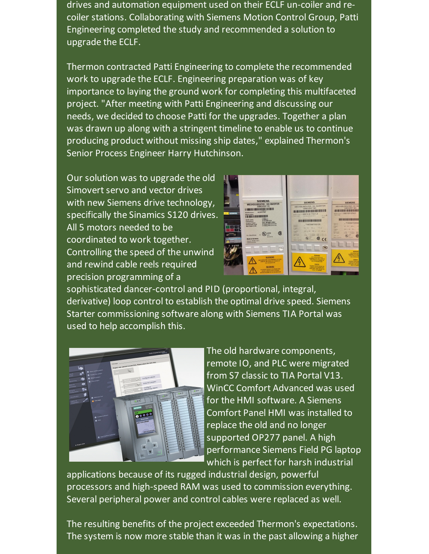drives and automation equipment used on their ECLF un-coiler and recoiler stations. Collaborating with Siemens Motion Control Group, Patti Engineering completed the study and recommended a solution to upgrade the ECLF.

Thermon contracted Patti Engineering to complete the recommended work to upgrade the ECLF. Engineering preparation was of key importance to laying the ground work for completing this multifaceted project. "After meeting with Patti Engineering and discussing our needs, we decided to choose Patti for the upgrades. Together a plan was drawn up along with a stringent timeline to enable us to continue producing product without missing ship dates," explained Thermon's Senior Process Engineer Harry Hutchinson.

Our solution was to upgrade the old Simovert servo and vector drives with new Siemens drive technology, specifically the Sinamics S120 drives. All 5 motors needed to be coordinated to work together. Controlling the speed of the unwind and rewind cable reels required precision programming of a

|               | w<br><b>SIEMENS</b>                                                                                                                 | w.                                                                                                                                                                        |                                                                                                                                                       |
|---------------|-------------------------------------------------------------------------------------------------------------------------------------|---------------------------------------------------------------------------------------------------------------------------------------------------------------------------|-------------------------------------------------------------------------------------------------------------------------------------------------------|
|               | <b>WECHSELRICHTER / DC INVERTER</b>                                                                                                 | <b>SIEMENS</b>                                                                                                                                                            | <b>SIEMENS</b><br>WECHSELRICHTER / DC INV                                                                                                             |
|               | <b>SIMOVERT VC</b><br>MAN VE IN MANUFACTURE DI LA BILLIA DI LA LA                                                                   | WECHSELRICHTER / DC INVERTER<br><b>SIMOVERT MC</b><br>E ETHERE DE BILLET E LE                                                                                             | SIMOVERT MC<br>1011111101111011                                                                                                                       |
| <b>UEMENS</b> | FRATS ZON KAR<br><b>Barningness</b><br><b>Model cumber</b><br><b>ALIM NATURE REQUIREMENT REPORTS</b>                                | Automobile to 6SE7016-1TA51-Z<br>to m A<br>CONSAMIONARY ARTS<br><b>THE STAR</b>                                                                                           | <b>BRANCHING IP 6SE7021-0TA51</b><br><b>SHACKHARE</b>                                                                                                 |
|               | A Grammer<br>0100002715<br>Fall Nr / seriel<br>OC 015-656V 13.1A<br><b>Excava front</b><br>SAC G-386, ANSV G-5004x                  | <b>Service</b><br><b>BUR MULLILERIN BREELE</b>                                                                                                                            | <b>608-60005105005500</b>                                                                                                                             |
|               | Ausgang / Culput<br>VT-Reding 130% OL No Smile<br><b>Belastungski i 10.2A</b><br>CT-Rating VM/L-St for Sales<br>Max, Dolpat II 9.34 | $- T-1.002447500129$<br><b>Falco</b> Ne<br><b>Salaring</b><br>no be well in a<br><b>Kingdom</b>                                                                           | $-7.449284750004$<br><b>Farming</b><br><b>Bally of</b><br>SE 910 - 495 V.<br><b>Krams</b><br><b>Hard</b>                                              |
|               | <b>GF</b><br><b>USTED</b>                                                                                                           | <b>HALL</b><br>Section bed well as the contract<br><b><i><u>Automatica</u></i></b><br><b>Culput</b>                                                                       | <b>SACILITAR AREA</b><br>Angele<br>-<br><b>Belgium</b> craner<br>1972 A of Keny 1989<br>$-0.14$<br><b>CT Name</b><br><b>May Chang</b><br><b>START</b> |
|               | $\alpha$<br>Ers. Standbeson<br><b>GATE</b><br><b>ALCOHOL:</b><br><b>Made in Germany</b>                                             | LET A VIRGIN THE IS BETWEEN<br><b>Telephone</b><br><b>STAR</b><br><b>May Tickut</b><br>AT Bally 1989 In As Low<br>-<br><b>Tarring State</b><br>m<br>C٤<br><b>MARGARET</b> | -<br><b>Texto car</b><br>侮<br><b>Louis</b><br><b>Marie in Garmen</b><br><b>STATISTICS</b>                                                             |
|               | Clonese Worker-Str.3<br><b>S-MAR CANNER</b>                                                                                         | <b>Main of Fairman</b>                                                                                                                                                    |                                                                                                                                                       |
|               | a,                                                                                                                                  |                                                                                                                                                                           |                                                                                                                                                       |
|               |                                                                                                                                     | <b>WARNING</b>                                                                                                                                                            | WARNERS<br><b>BEX ARCHIVES</b><br><b>PRINTINGS COST AND</b><br><b>SHE BREAKER ON</b>                                                                  |
|               | <b>WARNUNG</b><br><b>MCX ASSOULTING ASSN SHANGHOUS STOP AND</b><br>3 NORTH LES DISERIOS SURVEYERS                                   | <b>NICE ARCOVATING ALLIN</b><br><b>SPERIOUS STOY ROCK ENDING:</b><br>LAND GERMUCHE SPANNING AND<br><b>SEE ATRICGALITING</b>                                               | <b>SIM BONDON</b><br><b>SANGAN</b><br><b>MONTHS MONEY RM</b>                                                                                          |
|               | <b>SENE DOCUMENTATION</b><br><b>WARNING</b>                                                                                         | <b>DANSER</b><br><b>ALCOHOLD MODAL RIVERS FOR</b><br><b>LAGAZES AFTER ROADWEIGHT</b>                                                                                      | <b><i>S MONSTER AFTER MINOR</i></b><br><b>POWER SUPPLY WORK FOR</b><br><b>CARDIO SIR BOAT</b>                                                         |
|               | A RAZARDOUS VICTORY IS STEEL PRESENT COR &<br>FURTHER S. MONETES AFTER ALL MISCHART<br>NOT BEEN DESCRAPTION OF RECONSTRATION        | POWER SUPPORT HORN DAMN DAY LINE<br><b>CROSS ON DIAGRAM</b>                                                                                                               |                                                                                                                                                       |

sophisticated dancer-control and PID (proportional, integral, derivative) loop control to establish the optimal drive speed. Siemens Starter commissioning software along with Siemens TIA Portal was used to help accomplish this.



The old hardware components, remote IO, and PLC were migrated from S7 classic to TIA Portal V13. WinCC Comfort Advanced was used for the HMI software. A Siemens Comfort Panel HMI was installed to replace the old and no longer supported OP277 panel. A high performance Siemens Field PG laptop which is perfect for harsh industrial

applications because of its rugged industrial design, powerful processors and high-speed RAM was used to commission everything. Several peripheral power and control cables were replaced as well.

The resulting benefits of the project exceeded Thermon's expectations. The system is now more stable than it was in the past allowing a higher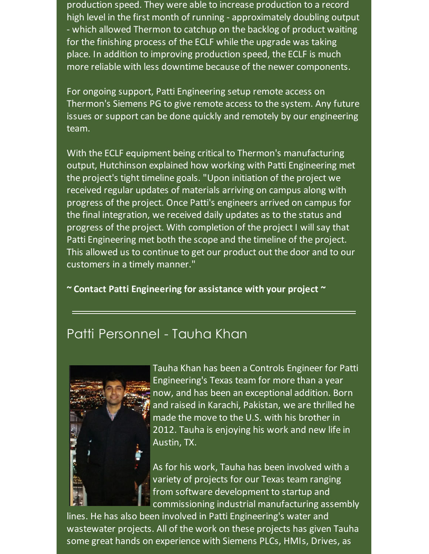production speed. They were able to increase production to a record high level in the first month of running - approximately doubling output - which allowed Thermon to catchup on the backlog of product waiting for the finishing process of the ECLF while the upgrade was taking place. In addition to improving production speed, the ECLF is much more reliable with less downtime because of the newer components.

For ongoing support, Patti Engineering setup remote access on Thermon's Siemens PG to give remote access to the system. Any future issues or support can be done quickly and remotely by our engineering team.

With the ECLF equipment being critical to Thermon's manufacturing output, Hutchinson explained how working with Patti Engineering met the project's tight timeline goals. "Upon initiation of the project we received regular updates of materials arriving on campus along with progress of the project. Once Patti's engineers arrived on campus for the final integration, we received daily updates as to the status and progress of the project. With completion of the project I will say that Patti Engineering met both the scope and the timeline of the project. This allowed us to continue to get our product out the door and to our customers in a timely manner."

**~ Contact Patti [Engineering](http://pattiengineering.com/contact/?utm_source=Patti+Perspective_February+2015&utm_campaign=Newsletter+February+2015&utm_medium=email) for assistance with your project ~**

## Patti Personnel - Tauha Khan



Tauha Khan has been a Controls Engineer for Patti Engineering's Texas team for more than a year now, and has been an exceptional addition. Born and raised in Karachi, Pakistan, we are thrilled he made the move to the U.S. with his brother in 2012. Tauha is enjoying his work and new life in Austin, TX.

As for his work, Tauha has been involved with a variety of projects for our Texas team ranging from software development to startup and commissioning industrial manufacturing assembly

lines. He has also been involved in Patti Engineering's water and wastewater projects. All of the work on these projects has given Tauha some great hands on experience with Siemens PLCs, HMIs, Drives, as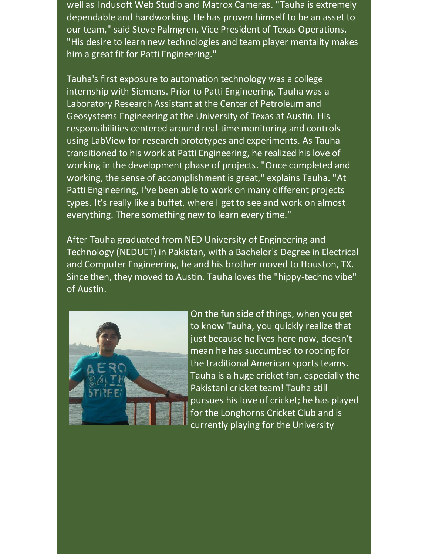well as Indusoft Web Studio and Matrox Cameras. "Tauha is extremely dependable and hardworking. He has proven himself to be an asset to our team," said Steve Palmgren, Vice President of Texas Operations. "His desire to learn new technologies and team player mentality makes him a great fit for Patti Engineering."

Tauha's first exposure to automation technology was a college internship with Siemens. Prior to Patti Engineering, Tauha was a Laboratory Research Assistant at the Center of Petroleum and Geosystems Engineering at the University of Texas at Austin. His responsibilities centered around real-time monitoring and controls using LabView for research prototypes and experiments. As Tauha transitioned to his work at Patti Engineering, he realized his love of working in the development phase of projects. "Once completed and working, the sense of accomplishment is great," explains Tauha. "At Patti Engineering, I've been able to work on many different projects types. It's really like a buffet, where I get to see and work on almost everything. There something new to learn every time."

After Tauha graduated from NED University of Engineering and Technology (NEDUET) in Pakistan, with a Bachelor's Degree in Electrical and Computer Engineering, he and his brother moved to Houston, TX. Since then, they moved to Austin. Tauha loves the "hippy-techno vibe" of Austin.



On the fun side of things, when you get to know Tauha, you quickly realize that just because he lives here now, doesn't mean he has succumbed to rooting for the traditional American sports teams. Tauha is a huge cricket fan, especially the Pakistani cricket team! Tauha still pursues his love of cricket; he has played for the Longhorns Cricket Club and is currently playing for the University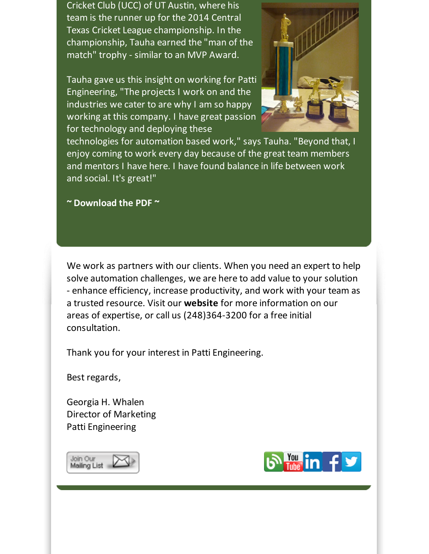Cricket Club (UCC) of UT Austin, where his team is the runner up for the 2014 Central Texas Cricket League championship. In the championship, Tauha earned the "man of the match" trophy - similar to an MVP Award.

Tauha gave us this insight on working for Patti Engineering, "The projects I work on and the industries we cater to are why I am so happy working at this company. I have great passion for technology and deploying these



technologies for automation based work," says Tauha. "Beyond that, I enjoy coming to work every day because of the great team members and mentors I have here. I have found balance in life between work and social. It's great!"

**~ [Download](https://files.ctctcdn.com/59cb3837001/22fa28f8-009b-4a63-8b0c-b2f7b8f03bc2.pdf?utm_source=Patti+Perspective_February+2015&utm_campaign=Newsletter+February+2015&utm_medium=email) the PDF ~**

We work as partners with our clients. When you need an expert to help solve automation challenges, we are here to add value to your solution - enhance efficiency, increase productivity, and work with your team as a trusted resource. Visit our **[website](http://www.pattieng.com/expertise.html?utm_source=Patti+Perspective_February+2015&utm_campaign=Newsletter+February+2015&utm_medium=email)** for more information on our areas of expertise, or call us (248)364-3200 for a free initial consultation.

Thank you for your interest in Patti Engineering.

Best regards,

Georgia H. Whalen Director of Marketing Patti Engineering



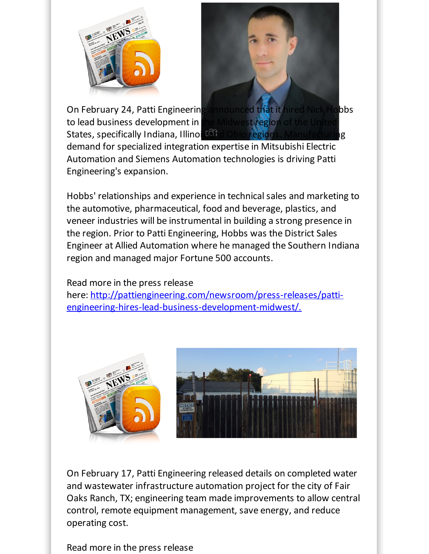



On [February](http://pattiengineering.com/newsroom/?utm_source=Patti+Perspective_February+2015&utm_campaign=Newsletter+February+2015&utm_medium=email) 24, Patti Engineering announced that it hired Nick Hobbs to lead business development in the Midwest region States, specifically Indiana, Illinois and Ohio regions. Manufacturing demand for specialized integration expertise in Mitsubishi Electric Automation and Siemens Automation technologies is driving Patti Engineering's expansion.

Hobbs' relationships and experience in technical sales and marketing to the automotive, pharmaceutical, food and beverage, plastics, and veneer industries will be instrumental in building a strong presence in the region. Prior to Patti Engineering, Hobbs was the District Sales Engineer at Allied Automation where he managed the Southern Indiana region and managed major Fortune 500 accounts.

## Read more in the press release

here: [http://pattiengineering.com/newsroom/press-releases/patti](http://pattiengineering.com/newsroom/press-releases/patti-engineering-hires-lead-business-development-midwest/.?utm_source=Patti+Perspective_February+2015&utm_campaign=Newsletter+February+2015&utm_medium=email)engineering-hires-lead-business-development-midwest/.



On February 17, Patti Engineering released details on completed water and wastewater infrastructure automation project for the city of Fair Oaks Ranch, TX; engineering team made improvements to allow central control, remote equipment management, save energy, and reduce operating cost.

Read more in the press release